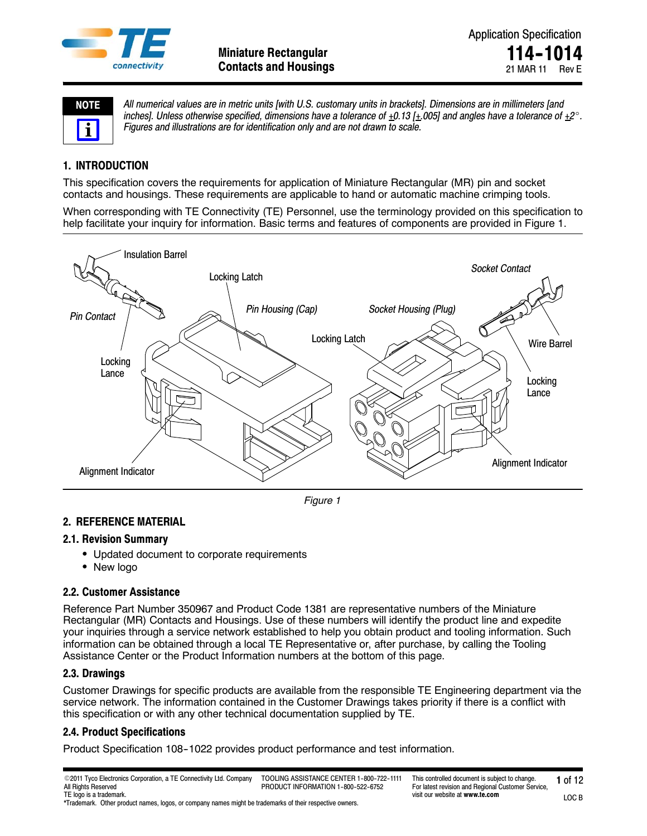

| I)<br>ı<br>Е<br>١ |  |  |  |  |  |  |
|-------------------|--|--|--|--|--|--|
|                   |  |  |  |  |  |  |

*All numerical values are in metric units [with U.S. customary units in brackets]. Dimensions are in millimeters [and* inches]. Unless otherwise specified, dimensions have a tolerance of  $\pm 0.13$  [ $\pm .005$ ] and angles have a tolerance of  $\pm 2^\circ$ . *Figures and illustrations are for identification only and are not drawn to scale.*

## **1. INTRODUCTION**

This specification covers the requirements for application of Miniature Rectangular (MR) pin and socket contacts and housings. These requirements are applicable to hand or automatic machine crimping tools.

When corresponding with TE Connectivity (TE) Personnel, use the terminology provided on this specification to help facilitate your inquiry for information. Basic terms and features of components are provided in Figure 1.



*Figure 1*

## **2. REFERENCE MATERIAL**

## **2.1. Revision Summary**

- Updated document to corporate requirements
- New logo

## **2.2. Customer Assistance**

Reference Part Number 350967 and Product Code 1381 are representative numbers of the Miniature Rectangular (MR) Contacts and Housings. Use of these numbers will identify the product line and expedite your inquiries through a service network established to help you obtain product and tooling information. Such information can be obtained through a local TE Representative or, after purchase, by calling the Tooling Assistance Center or the Product Information numbers at the bottom of this page.

## **2.3. Drawings**

Customer Drawings for specific products are available from the responsible TE Engineering department via the service network. The information contained in the Customer Drawings takes priority if there is a conflict with this specification or with any other technical documentation supplied by TE.

## **2.4. Product Specifications**

Product Specification 108-1022 provides product performance and test information.

\*Trademark. Other product names, logos, or company names might be trademarks of their respective owners.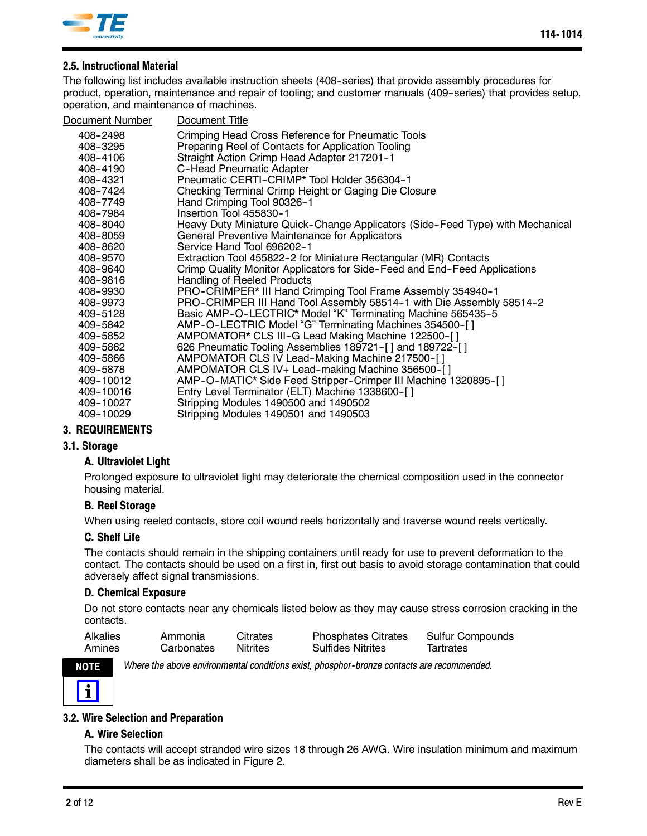

## **2.5. Instructional Material**

The following list includes available instruction sheets (408--series) that provide assembly procedures for product, operation, maintenance and repair of tooling; and customer manuals (409-series) that provides setup, operation, and maintenance of machines.

| Document Number | Document Title                                                                 |
|-----------------|--------------------------------------------------------------------------------|
| 408-2498        | Crimping Head Cross Reference for Pneumatic Tools                              |
| 408-3295        | Preparing Reel of Contacts for Application Tooling                             |
| 408-4106        | Straight Action Crimp Head Adapter 217201-1                                    |
| 408-4190        | <b>C-Head Pneumatic Adapter</b>                                                |
| 408-4321        | Pneumatic CERTI-CRIMP* Tool Holder 356304-1                                    |
| 408-7424        | Checking Terminal Crimp Height or Gaging Die Closure                           |
| 408-7749        | Hand Crimping Tool 90326-1                                                     |
| 408-7984        | Insertion Tool 455830-1                                                        |
| 408-8040        | Heavy Duty Miniature Quick-Change Applicators (Side-Feed Type) with Mechanical |
| 408-8059        | General Preventive Maintenance for Applicators                                 |
| 408-8620        | Service Hand Tool 696202-1                                                     |
| 408-9570        | Extraction Tool 455822-2 for Miniature Rectangular (MR) Contacts               |
| 408-9640        | Crimp Quality Monitor Applicators for Side-Feed and End-Feed Applications      |
| 408-9816        | Handling of Reeled Products                                                    |
| 408-9930        | PRO-CRIMPER* III Hand Crimping Tool Frame Assembly 354940-1                    |
| 408-9973        | PRO-CRIMPER III Hand Tool Assembly 58514-1 with Die Assembly 58514-2           |
| 409-5128        | Basic AMP-O-LECTRIC* Model "K" Terminating Machine 565435-5                    |
| 409-5842        | AMP-O-LECTRIC Model "G" Terminating Machines 354500-[]                         |
| 409-5852        | AMPOMATOR* CLS III-G Lead Making Machine 122500-[]                             |
| 409-5862        | 626 Pneumatic Tooling Assemblies 189721-[] and 189722-[]                       |
| 409-5866        | AMPOMATOR CLS IV Lead-Making Machine 217500-[]                                 |
| 409-5878        | AMPOMATOR CLS IV+ Lead-making Machine 356500-[]                                |
| 409-10012       | AMP-O-MATIC* Side Feed Stripper-Crimper III Machine 1320895-[]                 |
| 409-10016       | Entry Level Terminator (ELT) Machine 1338600-[]                                |
| 409-10027       | Stripping Modules 1490500 and 1490502                                          |
| 409-10029       | Stripping Modules 1490501 and 1490503                                          |
|                 |                                                                                |

## **3. REQUIREMENTS**

## **3.1. Storage**

## **A. Ultraviolet Light**

Prolonged exposure to ultraviolet light may deteriorate the chemical composition used in the connector housing material.

## **B. Reel Storage**

When using reeled contacts, store coil wound reels horizontally and traverse wound reels vertically.

#### **C. Shelf Life**

The contacts should remain in the shipping containers until ready for use to prevent deformation to the contact. The contacts should be used on a first in, first out basis to avoid storage contamination that could adversely affect signal transmissions.

### **D. Chemical Exposure**

Do not store contacts near any chemicals listed below as they may cause stress corrosion cracking in the contacts.

| <b>Alkalies</b> | Ammonia    | <b>Citrates</b> | <b>Phosphates Citrates</b> | Sulfur Compounds |
|-----------------|------------|-----------------|----------------------------|------------------|
| Amines          | Carbonates | <b>Nitrites</b> | <b>Sulfides Nitrites</b>   | Tartrates        |



*Where the above environmental conditions exist, phosphor--bronze contacts are recommended.*

## **3.2. Wire Selection and Preparation**

### **A. Wire Selection**

The contacts will accept stranded wire sizes 18 through 26 AWG. Wire insulation minimum and maximum diameters shall be as indicated in Figure 2.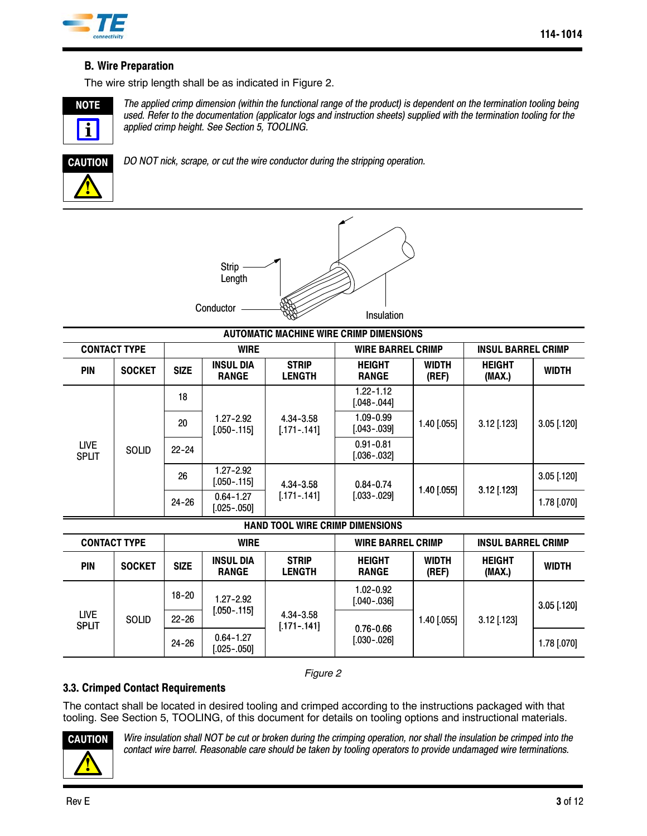

## **B. Wire Preparation**

The wire strip length shall be as indicated in Figure 2.



*The applied crimp dimension (within the functional range of the product) is dependent on the termination tooling being used. Refer to the documentation (applicator logs and instruction sheets) supplied with the termination tooling for the applied crimp height. See Section 5, TOOLING.*



*DO NOT nick, scrape, or cut the wire conductor during the stripping operation.*



| <b>AUTOMATIC MACHINE WIRE CRIMP DIMENSIONS</b> |               |             |                                  |                               |                                  |                           |                         |               |  |
|------------------------------------------------|---------------|-------------|----------------------------------|-------------------------------|----------------------------------|---------------------------|-------------------------|---------------|--|
| <b>CONTACT TYPE</b>                            |               |             | <b>WIRE</b>                      | <b>WIRE BARREL CRIMP</b>      |                                  | <b>INSUL BARREL CRIMP</b> |                         |               |  |
| <b>PIN</b>                                     | <b>SOCKET</b> | <b>SIZE</b> | <b>INSUL DIA</b><br><b>RANGE</b> | <b>STRIP</b><br><b>LENGTH</b> | <b>HEIGHT</b><br><b>RANGE</b>    | <b>WIDTH</b><br>(REF)     | <b>HEIGHT</b><br>(MAX.) | <b>WIDTH</b>  |  |
| <b>LIVE</b><br><b>SPLIT</b>                    | SOLID         | 18          | $1.27 - 2.92$<br>[.050-.115]     | 4.34-3.58<br>$[.171-.141]$    | $1.22 - 1.12$<br>[.048-.044]     | $1.40$ [.055]             | $3.12$ [.123]           | $3.05$ [.120] |  |
|                                                |               | 20          |                                  |                               | $1.09 - 0.99$<br>$[.043 - .039]$ |                           |                         |               |  |
|                                                |               | $22 - 24$   |                                  |                               | $0.91 - 0.81$<br>[.036-.032]     |                           |                         |               |  |
|                                                |               | 26          | $1.27 - 2.92$<br>$[.050-.115]$   | 4.34-3.58                     | $0.84 - 0.74$<br>$[.033-.029]$   | $1.40$ [.055]             | $3.12$ [.123]           | $3.05$ [.120] |  |
|                                                |               | $24 - 26$   | $0.64 - 1.27$<br>[.025-.050]     | $[.171-.141]$                 |                                  |                           |                         | 1.78 [.070]   |  |

### **HAND TOOL WIRE CRIMP DIMENSIONS**

| <b>CONTACT TYPE</b>         |               | <b>WIRE</b> |                                  |                               | <b>WIRE BARREL CRIMP</b>       |                       | <b>INSUL BARREL CRIMP</b> |               |
|-----------------------------|---------------|-------------|----------------------------------|-------------------------------|--------------------------------|-----------------------|---------------------------|---------------|
| <b>PIN</b>                  | <b>SOCKET</b> | <b>SIZE</b> | <b>INSUL DIA</b><br><b>RANGE</b> | <b>STRIP</b><br><b>LENGTH</b> | <b>HEIGHT</b><br><b>RANGE</b>  | <b>WIDTH</b><br>(REF) | <b>HEIGHT</b><br>(MAX.)   | <b>WIDTH</b>  |
| <b>LIVE</b><br><b>SPLIT</b> | <b>SOLID</b>  | $18 - 20$   | $1.27 - 2.92$                    | 4.34-3.58<br>$[.171 - .141]$  | $1.02 - 0.92$<br>$[.040-.036]$ | $1.40$ [.055]         | $3.12$ [.123]             | $3.05$ [.120] |
|                             |               | $22 - 26$   | $[.050-.115]$                    |                               | $0.76 - 0.66$<br>$[.030-.026]$ |                       |                           |               |
|                             |               | $24 - 26$   | $0.64 - 1.27$<br>$[.025-.050]$   |                               |                                |                       |                           | 1.78 [.070]   |

*Figure 2*

## **3.3. Crimped Contact Requirements**

The contact shall be located in desired tooling and crimped according to the instructions packaged with that tooling. See Section 5, TOOLING, of this document for details on tooling options and instructional materials.



*Wire insulation shall NOT be cut or broken during the crimping operation, nor shall the insulation be crimped into the contact wire barrel. Reasonable care should be taken by tooling operators to provide undamaged wire terminations.*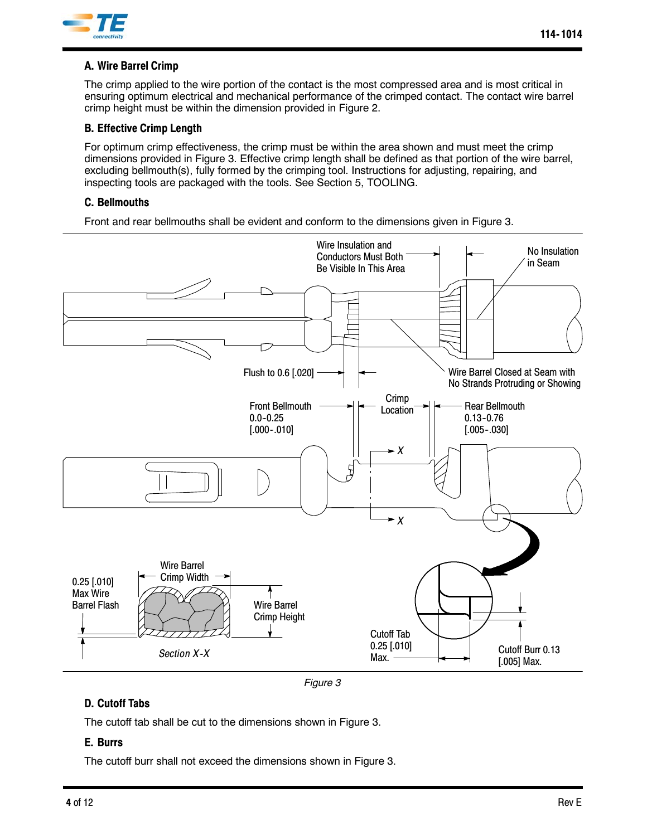

## **A. Wire Barrel Crimp**

The crimp applied to the wire portion of the contact is the most compressed area and is most critical in ensuring optimum electrical and mechanical performance of the crimped contact. The contact wire barrel crimp height must be within the dimension provided in Figure 2.

### **B. Effective Crimp Length**

For optimum crimp effectiveness, the crimp must be within the area shown and must meet the crimp dimensions provided in Figure 3. Effective crimp length shall be defined as that portion of the wire barrel, excluding bellmouth(s), fully formed by the crimping tool. Instructions for adjusting, repairing, and inspecting tools are packaged with the tools. See Section 5, TOOLING.

### **C. Bellmouths**

Front and rear bellmouths shall be evident and conform to the dimensions given in Figure 3.



*Figure 3*

## **D. Cutoff Tabs**

The cutoff tab shall be cut to the dimensions shown in Figure 3.

## **E. Burrs**

The cutoff burr shall not exceed the dimensions shown in Figure 3.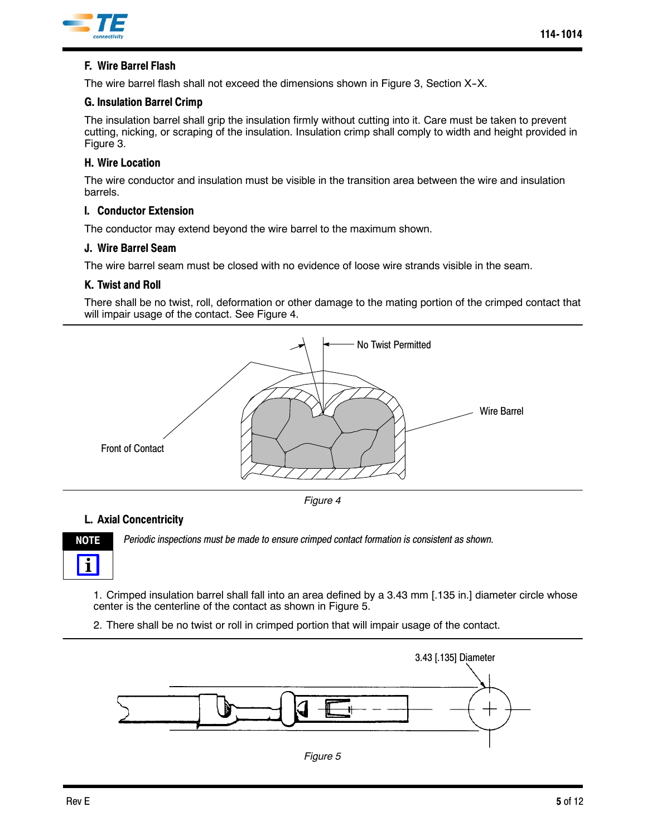

## **F. Wire Barrel Flash**

The wire barrel flash shall not exceed the dimensions shown in Figure 3, Section X-X.

#### **G. Insulation Barrel Crimp**

The insulation barrel shall grip the insulation firmly without cutting into it. Care must be taken to prevent cutting, nicking, or scraping of the insulation. Insulation crimp shall comply to width and height provided in Figure 3.

#### **H. Wire Location**

The wire conductor and insulation must be visible in the transition area between the wire and insulation barrels.

### **I. Conductor Extension**

The conductor may extend beyond the wire barrel to the maximum shown.

#### **J. Wire Barrel Seam**

The wire barrel seam must be closed with no evidence of loose wire strands visible in the seam.

### **K. Twist and Roll**

There shall be no twist, roll, deformation or other damage to the mating portion of the crimped contact that will impair usage of the contact. See Figure 4.



*Figure 4*

## **L. Axial Concentricity**



*Periodic inspections must be made to ensure crimped contact formation is consistent as shown.*

1. Crimped insulation barrel shall fall into an area defined by a 3.43 mm [.135 in.] diameter circle whose center is the centerline of the contact as shown in Figure 5.

2. There shall be no twist or roll in crimped portion that will impair usage of the contact.



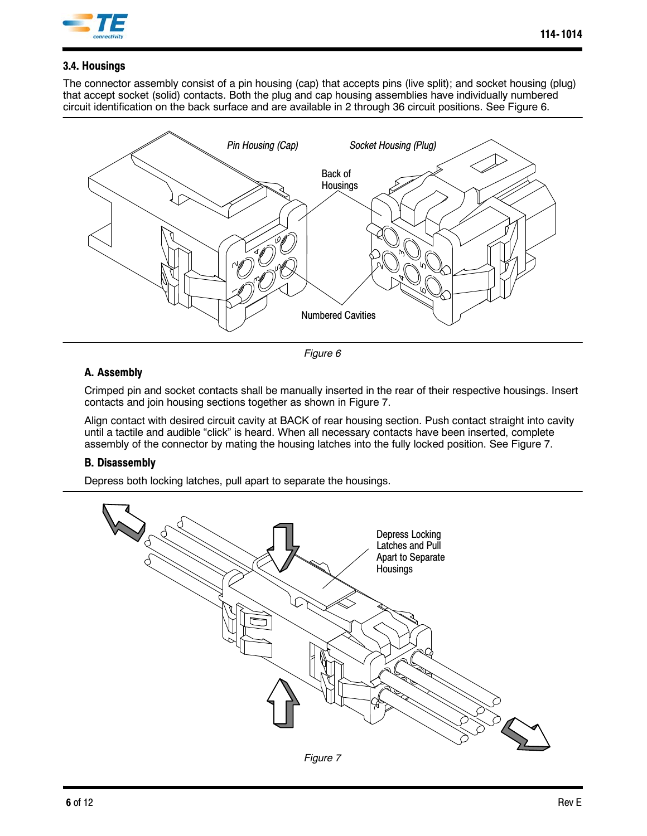

## **3.4. Housings**

The connector assembly consist of a pin housing (cap) that accepts pins (live split); and socket housing (plug) that accept socket (solid) contacts. Both the plug and cap housing assemblies have individually numbered circuit identification on the back surface and are available in 2 through 36 circuit positions. See Figure 6.



*Figure 6*

## **A. Assembly**

Crimped pin and socket contacts shall be manually inserted in the rear of their respective housings. Insert contacts and join housing sections together as shown in Figure 7.

Align contact with desired circuit cavity at BACK of rear housing section. Push contact straight into cavity until a tactile and audible "click" is heard. When all necessary contacts have been inserted, complete assembly of the connector by mating the housing latches into the fully locked position. See Figure 7.

## **B. Disassembly**

Depress both locking latches, pull apart to separate the housings.

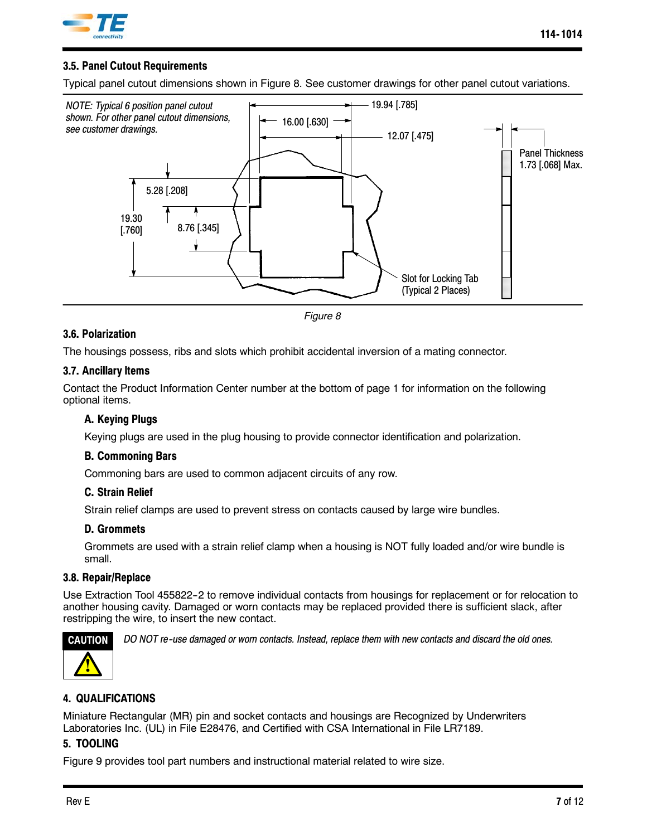

## **3.5. Panel Cutout Requirements**

Typical panel cutout dimensions shown in Figure 8. See customer drawings for other panel cutout variations.





### **3.6. Polarization**

The housings possess, ribs and slots which prohibit accidental inversion of a mating connector.

### **3.7. Ancillary Items**

Contact the Product Information Center number at the bottom of page 1 for information on the following optional items.

### **A. Keying Plugs**

Keying plugs are used in the plug housing to provide connector identification and polarization.

#### **B. Commoning Bars**

Commoning bars are used to common adjacent circuits of any row.

#### **C. Strain Relief**

Strain relief clamps are used to prevent stress on contacts caused by large wire bundles.

#### **D. Grommets**

Grommets are used with a strain relief clamp when a housing is NOT fully loaded and/or wire bundle is small.

#### **3.8. Repair/Replace**

Use Extraction Tool 455822-2 to remove individual contacts from housings for replacement or for relocation to another housing cavity. Damaged or worn contacts may be replaced provided there is sufficient slack, after restripping the wire, to insert the new contact.



*DO NOT re--use damaged or worn contacts. Instead, replace them with new contacts and discard the old ones.*

## **4. QUALIFICATIONS**

Miniature Rectangular (MR) pin and socket contacts and housings are Recognized by Underwriters Laboratories Inc. (UL) in File E28476, and Certified with CSA International in File LR7189.

## **5. TOOLING**

Figure 9 provides tool part numbers and instructional material related to wire size.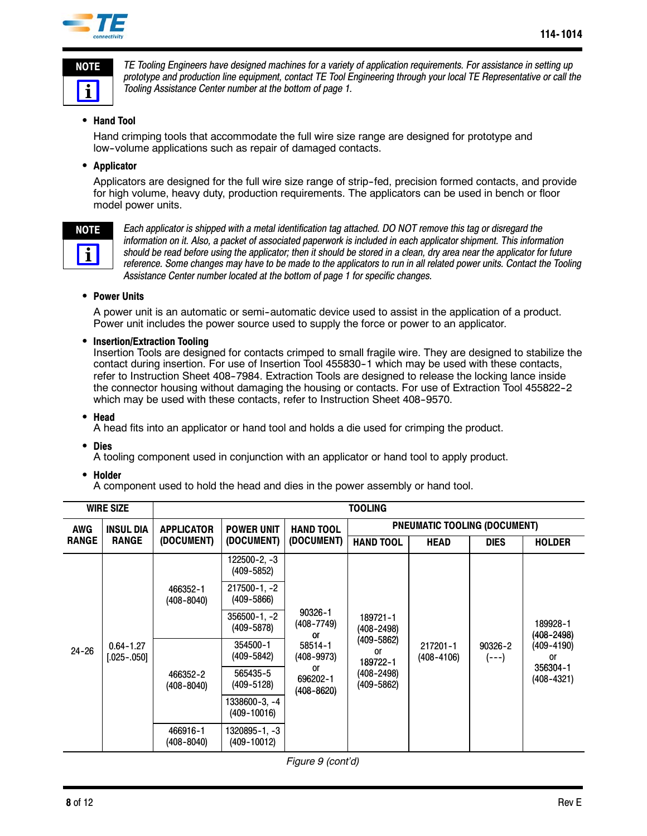

*TE Tooling Engineers have designed machines for a variety of application requirements. For assistance in setting up prototype and production line equipment, contact TE Tool Engineering through your local TE Representative or call the Tooling Assistance Center number at the bottom of page 1.*

### **• Hand Tool**

Hand crimping tools that accommodate the full wire size range are designed for prototype and low--volume applications such as repair of damaged contacts.

#### **•** Applicator

Applicators are designed for the full wire size range of strip-fed, precision formed contacts, and provide for high volume, heavy duty, production requirements. The applicators can be used in bench or floor model power units.



*Each applicator is shipped with a metal identification tag attached. DO NOT remove this tag or disregard the information on it. Also, a packet of associated paperwork is included in each applicator shipment. This information should be read before using the applicator; then it should be stored in a clean, dry area near the applicator for future reference. Some changes may have to be made to the applicators to run in all related power units. Contact the Tooling Assistance Center number located at the bottom of page 1 for specific changes.*

#### **• Power Units**

A power unit is an automatic or semi-automatic device used to assist in the application of a product. Power unit includes the power source used to supply the force or power to an applicator.

#### **• Insertion/Extraction Tooling**

Insertion Tools are designed for contacts crimped to small fragile wire. They are designed to stabilize the contact during insertion. For use of Insertion Tool 455830-1 which may be used with these contacts, refer to Instruction Sheet 408--7984. Extraction Tools are designed to release the locking lance inside the connector housing without damaging the housing or contacts. For use of Extraction Tool 455822-2 which may be used with these contacts, refer to Instruction Sheet 408-9570.

#### S **Head**

A head fits into an applicator or hand tool and holds a die used for crimping the product.

**•** Dies

A tooling component used in conjunction with an applicator or hand tool to apply product.

**•** Holder

A component used to hold the head and dies in the power assembly or hand tool.

| <b>WIRE SIZE</b>               |                                | <b>TOOLING</b>             |                                  |                                                                                      |                                                                                    |                        |                      |                                                                      |  |
|--------------------------------|--------------------------------|----------------------------|----------------------------------|--------------------------------------------------------------------------------------|------------------------------------------------------------------------------------|------------------------|----------------------|----------------------------------------------------------------------|--|
| <b>AWG</b><br><b>INSUL DIA</b> |                                | <b>APPLICATOR</b>          | <b>POWER UNIT</b>                | <b>HAND TOOL</b>                                                                     | <b>PNEUMATIC TOOLING (DOCUMENT)</b>                                                |                        |                      |                                                                      |  |
| <b>RANGE</b>                   | <b>RANGE</b>                   | (DOCUMENT)                 | (DOCUMENT)                       | (DOCUMENT)                                                                           | <b>HAND TOOL</b>                                                                   | <b>HEAD</b>            | <b>DIES</b>          | <b>HOLDER</b>                                                        |  |
| $24 - 26$                      |                                | 466352-1<br>$(408 - 8040)$ | $122500 - 2, -3$<br>(409-5852)   | 90326-1<br>(408-7749)<br>0ľ<br>58514-1<br>(408-9973)<br>or<br>696202-1<br>(408-8620) | 189721-1<br>(408–2498)<br>(409-5862)<br>or<br>189722-1<br>(408–2498)<br>(409-5862) | 217201-1<br>(408-4106) | 90326-2<br>$(- - -)$ | 189928-1<br>(408–2498)<br>(409-4190)<br>or<br>356304-1<br>(408-4321) |  |
|                                |                                |                            | 217500-1, -2<br>$(409 - 5866)$   |                                                                                      |                                                                                    |                        |                      |                                                                      |  |
|                                | $0.64 - 1.27$<br>$[.025-.050]$ |                            | $356500 - 1, -2$<br>(409-5878)   |                                                                                      |                                                                                    |                        |                      |                                                                      |  |
|                                |                                | 466352-2<br>$(408 - 8040)$ | 354500-1<br>(409-5842)           |                                                                                      |                                                                                    |                        |                      |                                                                      |  |
|                                |                                |                            | 565435-5<br>(409-5128)           |                                                                                      |                                                                                    |                        |                      |                                                                      |  |
|                                |                                |                            | 1338600-3, -4<br>$(409 - 10016)$ |                                                                                      |                                                                                    |                        |                      |                                                                      |  |
|                                |                                | 466916-1<br>(408-8040)     | 1320895-1. -3<br>$(409 - 10012)$ |                                                                                      |                                                                                    |                        |                      |                                                                      |  |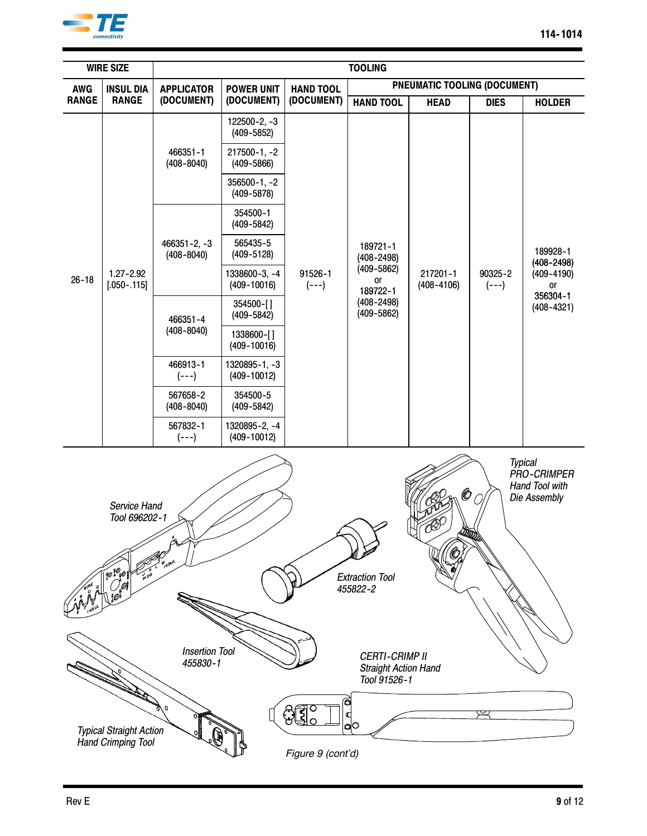

| <b>TOOLING</b><br><b>WIRE SIZE</b>                                                                                                                                              |                                                                                                           |                                    |                                      |                      |                                                                |                            |                      |                                                                                  |
|---------------------------------------------------------------------------------------------------------------------------------------------------------------------------------|-----------------------------------------------------------------------------------------------------------|------------------------------------|--------------------------------------|----------------------|----------------------------------------------------------------|----------------------------|----------------------|----------------------------------------------------------------------------------|
| <b>AWG</b>                                                                                                                                                                      | <b>INSUL DIA</b>                                                                                          | <b>APPLICATOR</b>                  | <b>POWER UNIT</b>                    | <b>HAND TOOL</b>     | PNEUMATIC TOOLING (DOCUMENT)                                   |                            |                      |                                                                                  |
| <b>RANGE</b>                                                                                                                                                                    | <b>RANGE</b>                                                                                              | (DOCUMENT)                         | (DOCUMENT)                           | (DOCUMENT)           | <b>HAND TOOL</b>                                               | <b>HEAD</b>                | <b>DIES</b>          | <b>HOLDER</b>                                                                    |
|                                                                                                                                                                                 |                                                                                                           |                                    | $122500 - 2, -3$<br>$(409 - 5852)$   |                      | 189721-1<br>$(408 - 2498)$<br>$(409 - 5862)$<br>or<br>189722-1 | 217201-1<br>$(408 - 4106)$ | 90325-2<br>$(- - -)$ | 189928-1<br>$(408 - 2498)$<br>$(409 - 4190)$<br>or<br>356304-1<br>$(408 - 4321)$ |
|                                                                                                                                                                                 |                                                                                                           | 466351-1<br>$(408 - 8040)$         | $217500 - 1, -2$<br>$(409 - 5866)$   |                      |                                                                |                            |                      |                                                                                  |
|                                                                                                                                                                                 |                                                                                                           |                                    | $356500 - 1, -2$<br>$(409 - 5878)$   |                      |                                                                |                            |                      |                                                                                  |
|                                                                                                                                                                                 |                                                                                                           |                                    | 354500-1<br>$(409 - 5842)$           |                      |                                                                |                            |                      |                                                                                  |
|                                                                                                                                                                                 |                                                                                                           | $466351 - 2, -3$<br>$(408 - 8040)$ | 565435-5<br>$(409 - 5128)$           |                      |                                                                |                            |                      |                                                                                  |
| $26 - 18$                                                                                                                                                                       | $1.27 - 2.92$<br>$[.050-.115]$                                                                            |                                    | 1338600-3, -4<br>$(409 - 10016)$     | 91526-1<br>$(- - -)$ |                                                                |                            |                      |                                                                                  |
|                                                                                                                                                                                 |                                                                                                           | 466351-4                           | 354500-[]<br>$(409 - 5842)$          |                      | $(408 - 2498)$<br>$(409 - 5862)$                               |                            |                      |                                                                                  |
|                                                                                                                                                                                 |                                                                                                           | $(408 - 8040)$                     | 1338600-[]<br>$(409 - 10016)$        |                      |                                                                |                            |                      |                                                                                  |
|                                                                                                                                                                                 |                                                                                                           | 466913-1<br>$(- - -)$              | $1320895 - 1, -3$<br>$(409 - 10012)$ |                      |                                                                |                            |                      |                                                                                  |
|                                                                                                                                                                                 |                                                                                                           | 567658-2<br>$(408 - 8040)$         | 354500-5<br>$(409 - 5842)$           |                      |                                                                |                            |                      |                                                                                  |
|                                                                                                                                                                                 |                                                                                                           | 567832-1<br>$(- - -)$              | 1320895-2, -4<br>$(409 - 10012)$     |                      |                                                                |                            |                      |                                                                                  |
| <b>Typical</b><br><b>PRO-CRIMPER</b><br>Hand Tool with<br>©<br>Die Assembly<br>Service Hand<br>Tool 696202-1<br>4200<br><b>80 %</b><br><b>Extraction Tool</b><br>Ø)<br>455822-2 |                                                                                                           |                                    |                                      |                      |                                                                |                            |                      |                                                                                  |
|                                                                                                                                                                                 | <b>Insertion Tool</b><br><b>CERTI-CRIMP II</b><br>455830-1<br><b>Straight Action Hand</b><br>Tool 91526-1 |                                    |                                      |                      |                                                                |                            |                      |                                                                                  |
|                                                                                                                                                                                 | C<br>ao<br><b>Typical Straight Action</b>                                                                 |                                    |                                      |                      |                                                                |                            |                      |                                                                                  |
|                                                                                                                                                                                 | <b>Hand Crimping Tool</b><br>Figure 9 (cont'd)                                                            |                                    |                                      |                      |                                                                |                            |                      |                                                                                  |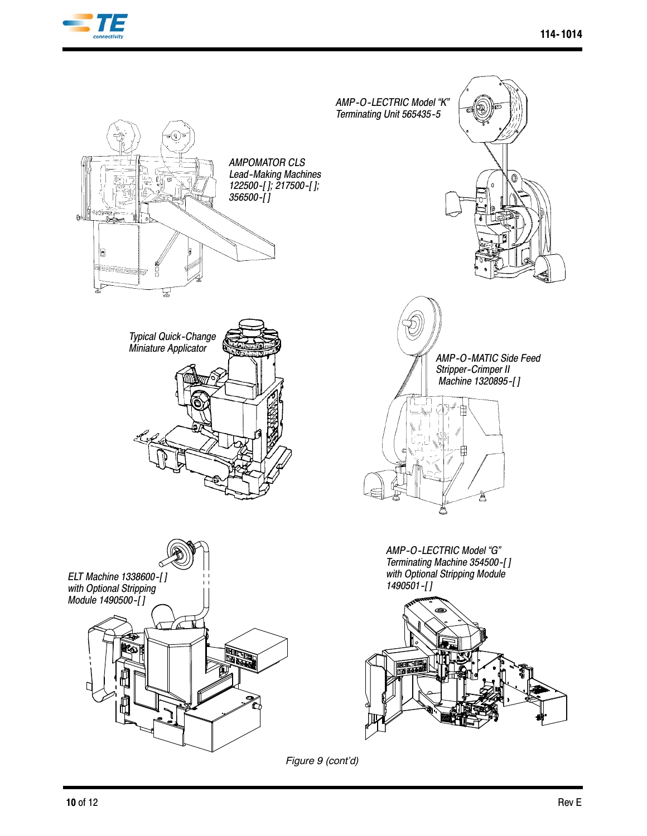



*Figure 9 (cont'd)*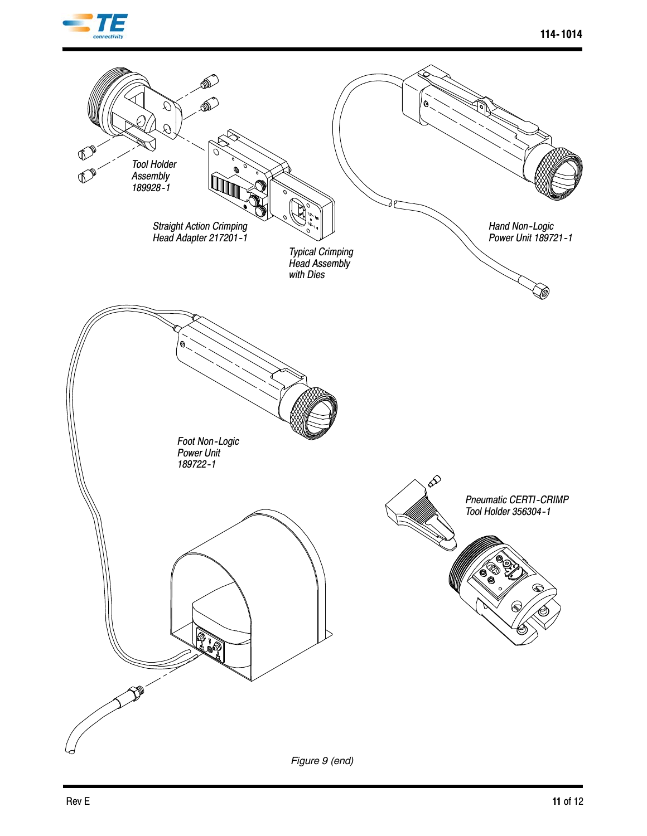